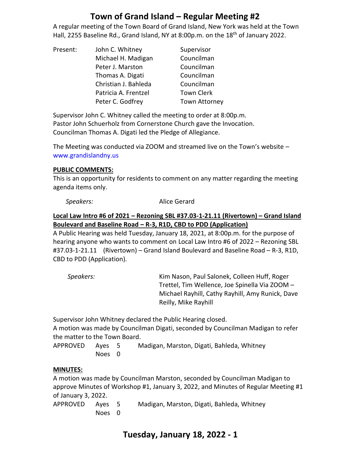# **Town of Grand Island – Regular Meeting #2**

A regular meeting of the Town Board of Grand Island, New York was held at the Town Hall, 2255 Baseline Rd., Grand Island, NY at 8:00p.m. on the 18<sup>th</sup> of January 2022.

| Present: | John C. Whitney      | Supervisor           |
|----------|----------------------|----------------------|
|          | Michael H. Madigan   | Councilman           |
|          | Peter J. Marston     | Councilman           |
|          | Thomas A. Digati     | Councilman           |
|          | Christian J. Bahleda | Councilman           |
|          | Patricia A. Frentzel | <b>Town Clerk</b>    |
|          | Peter C. Godfrey     | <b>Town Attorney</b> |

Supervisor John C. Whitney called the meeting to order at 8:00p.m. Pastor John Schuerholz from Cornerstone Church gave the Invocation. Councilman Thomas A. Digati led the Pledge of Allegiance.

The Meeting was conducted via ZOOM and streamed live on the Town's website – [www.grandislandny.us](http://www.grandislandny.us/)

#### **PUBLIC COMMENTS:**

This is an opportunity for residents to comment on any matter regarding the meeting agenda items only.

**Speakers:** Alice Gerard

## **Local Law Intro #6 of 2021 – Rezoning SBL #37.03-1-21.11 (Rivertown) – Grand Island Boulevard and Baseline Road – R-3, R1D, CBD to PDD (Application)**

A Public Hearing was held Tuesday, January 18, 2021, at 8:00p.m. for the purpose of hearing anyone who wants to comment on Local Law Intro #6 of 2022 – Rezoning SBL #37.03-1-21.11 (Rivertown) – Grand Island Boulevard and Baseline Road – R-3, R1D, CBD to PDD (Application).

| Speakers: | Kim Nason, Paul Salonek, Colleen Huff, Roger     |
|-----------|--------------------------------------------------|
|           | Trettel, Tim Wellence, Joe Spinella Via ZOOM -   |
|           | Michael Rayhill, Cathy Rayhill, Amy Runick, Dave |
|           | Reilly, Mike Rayhill                             |

Supervisor John Whitney declared the Public Hearing closed.

A motion was made by Councilman Digati, seconded by Councilman Madigan to refer the matter to the Town Board.

APPROVED Ayes 5 Madigan, Marston, Digati, Bahleda, Whitney Noes 0

# **MINUTES:**

A motion was made by Councilman Marston, seconded by Councilman Madigan to approve Minutes of Workshop #1, January 3, 2022, and Minutes of Regular Meeting #1 of January 3, 2022.

| APPROVED Ayes 5 |        | Madigan, Marston, Digati, Bahleda, Whitney |
|-----------------|--------|--------------------------------------------|
|                 | Noes 0 |                                            |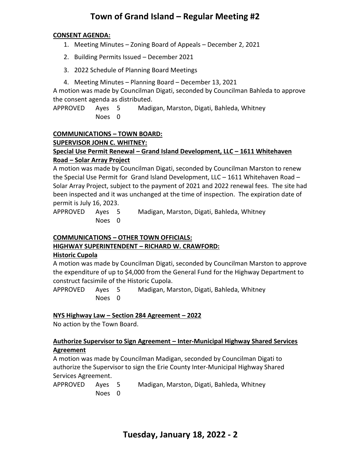# **Town of Grand Island – Regular Meeting #2**

#### **CONSENT AGENDA:**

- 1. Meeting Minutes Zoning Board of Appeals December 2, 2021
- 2. Building Permits Issued December 2021
- 3. 2022 Schedule of Planning Board Meetings
- 4. Meeting Minutes Planning Board December 13, 2021

A motion was made by Councilman Digati, seconded by Councilman Bahleda to approve the consent agenda as distributed.

APPROVED Ayes 5 Madigan, Marston, Digati, Bahleda, Whitney Noes 0

## **COMMUNICATIONS – TOWN BOARD:**

**SUPERVISOR JOHN C. WHITNEY:**

## **Special Use Permit Renewal – Grand Island Development, LLC – 1611 Whitehaven Road – Solar Array Project**

A motion was made by Councilman Digati, seconded by Councilman Marston to renew the Special Use Permit for Grand Island Development, LLC – 1611 Whitehaven Road – Solar Array Project, subject to the payment of 2021 and 2022 renewal fees. The site had been inspected and it was unchanged at the time of inspection. The expiration date of permit is July 16, 2023.

APPROVED Ayes 5 Madigan, Marston, Digati, Bahleda, Whitney Noes 0

# **COMMUNICATIONS – OTHER TOWN OFFICIALS:**

# **HIGHWAY SUPERINTENDENT – RICHARD W. CRAWFORD:**

#### **Historic Cupola**

A motion was made by Councilman Digati, seconded by Councilman Marston to approve the expenditure of up to \$4,000 from the General Fund for the Highway Department to construct facsimile of the Historic Cupola.

APPROVED Ayes 5 Madigan, Marston, Digati, Bahleda, Whitney Noes 0

#### **NYS Highway Law – Section 284 Agreement – 2022**

No action by the Town Board.

## **Authorize Supervisor to Sign Agreement – Inter-Municipal Highway Shared Services Agreement**

A motion was made by Councilman Madigan, seconded by Councilman Digati to authorize the Supervisor to sign the Erie County Inter-Municipal Highway Shared Services Agreement.

| APPROVED Ayes 5 |        | Madigan, Marston, Digati, Bahleda, Whitney |
|-----------------|--------|--------------------------------------------|
|                 | Noes 0 |                                            |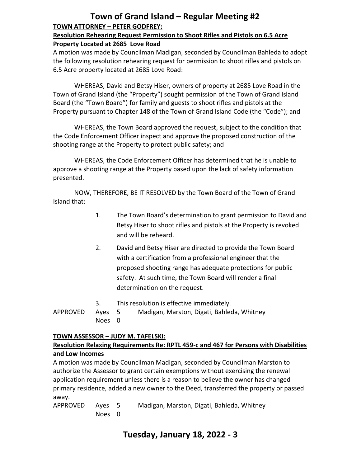# **Town of Grand Island – Regular Meeting #2 TOWN ATTORNEY – PETER GODFREY:**

#### **Resolution Rehearing Request Permission to Shoot Rifles and Pistols on 6.5 Acre Property Located at 2685 Love Road**

A motion was made by Councilman Madigan, seconded by Councilman Bahleda to adopt the following resolution rehearing request for permission to shoot rifles and pistols on 6.5 Acre property located at 2685 Love Road:

WHEREAS, David and Betsy Hiser, owners of property at 2685 Love Road in the Town of Grand Island (the "Property") sought permission of the Town of Grand Island Board (the "Town Board") for family and guests to shoot rifles and pistols at the Property pursuant to Chapter 148 of the Town of Grand Island Code (the "Code"); and

WHEREAS, the Town Board approved the request, subject to the condition that the Code Enforcement Officer inspect and approve the proposed construction of the shooting range at the Property to protect public safety; and

WHEREAS, the Code Enforcement Officer has determined that he is unable to approve a shooting range at the Property based upon the lack of safety information presented.

NOW, THEREFORE, BE IT RESOLVED by the Town Board of the Town of Grand Island that:

- 1. The Town Board's determination to grant permission to David and Betsy Hiser to shoot rifles and pistols at the Property is revoked and will be reheard.
- 2. David and Betsy Hiser are directed to provide the Town Board with a certification from a professional engineer that the proposed shooting range has adequate protections for public safety. At such time, the Town Board will render a final determination on the request.
- 3. This resolution is effective immediately. APPROVED Ayes 5 Madigan, Marston, Digati, Bahleda, Whitney Noes 0

#### **TOWN ASSESSOR – JUDY M. TAFELSKI: Resolution Relaxing Requirements Re: RPTL 459-c and 467 for Persons with Disabilities and Low Incomes**

A motion was made by Councilman Madigan, seconded by Councilman Marston to authorize the Assessor to grant certain exemptions without exercising the renewal application requirement unless there is a reason to believe the owner has changed primary residence, added a new owner to the Deed, transferred the property or passed away.

APPROVED Ayes 5 Madigan, Marston, Digati, Bahleda, Whitney Noes 0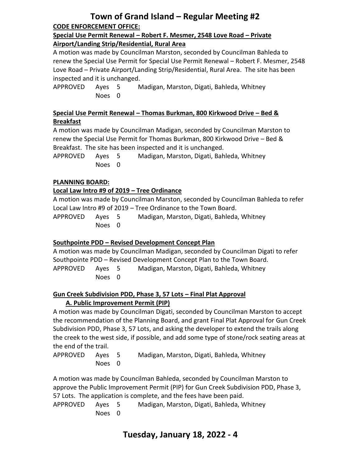# **Town of Grand Island – Regular Meeting #2 CODE ENFORCEMENT OFFICE:**

#### **Special Use Permit Renewal – Robert F. Mesmer, 2548 Love Road – Private Airport/Landing Strip/Residential, Rural Area**

A motion was made by Councilman Marston, seconded by Councilman Bahleda to renew the Special Use Permit for Special Use Permit Renewal – Robert F. Mesmer, 2548 Love Road – Private Airport/Landing Strip/Residential, Rural Area. The site has been inspected and it is unchanged.

APPROVED Ayes 5 Madigan, Marston, Digati, Bahleda, Whitney Noes 0

# **Special Use Permit Renewal – Thomas Burkman, 800 Kirkwood Drive – Bed & Breakfast**

A motion was made by Councilman Madigan, seconded by Councilman Marston to renew the Special Use Permit for Thomas Burkman, 800 Kirkwood Drive – Bed & Breakfast. The site has been inspected and it is unchanged.

APPROVED Ayes 5 Madigan, Marston, Digati, Bahleda, Whitney Noes 0

# **PLANNING BOARD:**

# **Local Law Intro #9 of 2019 – Tree Ordinance**

A motion was made by Councilman Marston, seconded by Councilman Bahleda to refer Local Law Intro #9 of 2019 – Tree Ordinance to the Town Board.

APPROVED Ayes 5 Madigan, Marston, Digati, Bahleda, Whitney Noes 0

# **Southpointe PDD – Revised Development Concept Plan**

A motion was made by Councilman Madigan, seconded by Councilman Digati to refer Southpointe PDD – Revised Development Concept Plan to the Town Board. APPROVED Ayes 5 Madigan, Marston, Digati, Bahleda, Whitney Noes 0

# **Gun Creek Subdivision PDD, Phase 3, 57 Lots – Final Plat Approval A. Public Improvement Permit (PIP)**

A motion was made by Councilman Digati, seconded by Councilman Marston to accept the recommendation of the Planning Board, and grant Final Plat Approval for Gun Creek Subdivision PDD, Phase 3, 57 Lots, and asking the developer to extend the trails along the creek to the west side, if possible, and add some type of stone/rock seating areas at the end of the trail.

| APPROVED Ayes 5 |        | Madigan, Marston, Digati, Bahleda, Whitney |
|-----------------|--------|--------------------------------------------|
|                 | Noes 0 |                                            |

A motion was made by Councilman Bahleda, seconded by Councilman Marston to approve the Public Improvement Permit (PIP) for Gun Creek Subdivision PDD, Phase 3, 57 Lots. The application is complete, and the fees have been paid.

```
APPROVED Ayes 5 Madigan, Marston, Digati, Bahleda, Whitney
Noes 0
```